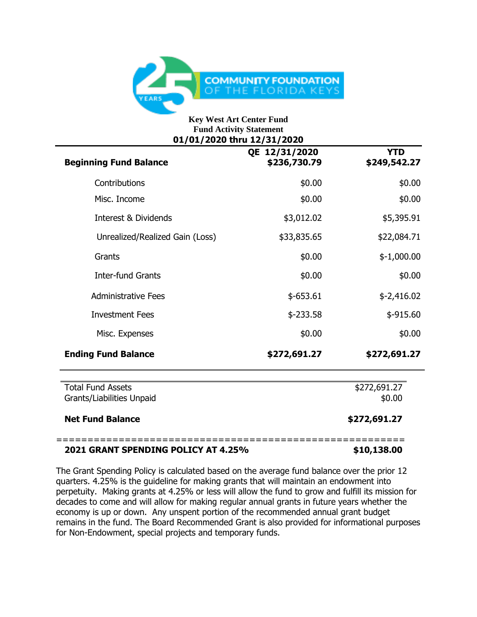

#### **Key West Art Center Fund Fund Activity Statement 01/01/2020 thru 12/31/2020**

| <b>Beginning Fund Balance</b>                         | QE 12/31/2020<br>\$236,730.79 | <b>YTD</b><br>\$249,542.27 |
|-------------------------------------------------------|-------------------------------|----------------------------|
| Contributions                                         | \$0.00                        | \$0.00                     |
| Misc. Income                                          | \$0.00                        | \$0.00                     |
| <b>Interest &amp; Dividends</b>                       | \$3,012.02                    | \$5,395.91                 |
| Unrealized/Realized Gain (Loss)                       | \$33,835.65                   | \$22,084.71                |
| Grants                                                | \$0.00                        | $$-1,000.00$               |
| <b>Inter-fund Grants</b>                              | \$0.00                        | \$0.00                     |
| <b>Administrative Fees</b>                            | $$-653.61$                    | $$-2,416.02$               |
| <b>Investment Fees</b>                                | $$ -233.58$                   | \$-915.60                  |
| Misc. Expenses                                        | \$0.00                        | \$0.00                     |
| <b>Ending Fund Balance</b>                            | \$272,691.27                  | \$272,691.27               |
| <b>Total Fund Assets</b><br>Grants/Liabilities Unpaid |                               | \$272,691.27<br>\$0.00     |
| <b>Net Fund Balance</b>                               |                               | \$272,691.27               |
|                                                       |                               |                            |

# **2021 GRANT SPENDING POLICY AT 4.25% \$10,138.00**

The Grant Spending Policy is calculated based on the average fund balance over the prior 12 quarters. 4.25% is the guideline for making grants that will maintain an endowment into perpetuity. Making grants at 4.25% or less will allow the fund to grow and fulfill its mission for decades to come and will allow for making regular annual grants in future years whether the economy is up or down. Any unspent portion of the recommended annual grant budget remains in the fund. The Board Recommended Grant is also provided for informational purposes for Non-Endowment, special projects and temporary funds.